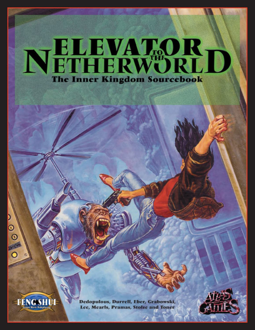# NELEVATOR D The Inner Kingdom Sourcebook



 $\frac{1}{2}$ 

Dedopulous, Durrell, Eber, Grabowski, Lee, Mearls, Pramas, Stolze and Toner

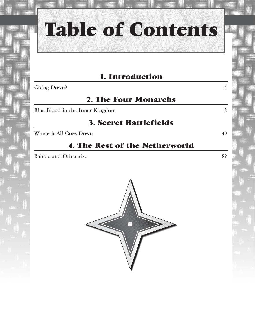

## **Table of Contents**

### **1. Introduction**

**2. The Four Monarchs**

Blue Blood in the Inner Kingdom 8

#### **3. Secret Battlefields**

Where it All Goes Down 40

### **4. The Rest of the Netherworld**

Rabble and Otherwise 89

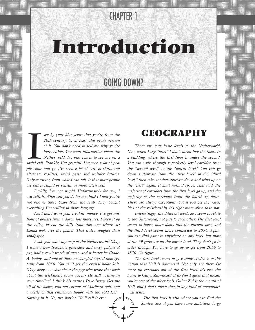### CHAPTER 1

### **Introduction**

### GOING DOWN?

**4**

see by your blue jeans that you're from the<br>20th century. Or at least, this year's version<br>of it. You don't need to tell me why you're<br>here, either. You want information about the<br>Netherworld. No one comes to see me on a<br>s *see by your blue jeans that you're from the 20th century. Or at least, this year's version of it. You don't need to tell me why you're here, either. You want information about the Netherworld. No one comes to see me on a ple come and go, I've seen a lot of critical shifts and alternate realities, weird pasts and weirder futures. Only constant, from what I can tell, is that most people are either stupid or selfish, or more often both.* 

*Luckily, I'm not stupid. Unfortunately for you, I* am *selfish. What can you do for me, hm? I know you're not one of those bozos from the Hub: They bought everything I'm willing to share long ago.*

*No, I don't want your freakin' money. I've got millions of dollars from a dozen lost junctures. I keep it by the toilet, except the bills from that one where Sri Lanka took over the planet. That stuff's rougher than sandpaper.* 

*Look, you want my map of the Netherworld? Okay, I want a new freezer, a generator and sixty gallons of gas, half a cow's worth of meat—and it better be Grade-A, buddy—and one of those newfangled crystal holo systems from 2056. You can't get the crystal holo? Shit. Okay, okay . . . what about the guy who wrote that book about the telekinetic prom queen? He still writing in your timeline? I think his name's Dave Barry. Get me all of his books, and ten cartons of Marlboro reds, and a bottle of that cinnamon liquor with the gold leaf floating in it. No, two bottles. We'll call it even.* 

### **GEOGRAPHY**

*There are four basic levels to the Netherworld. Now, when I say "level" I don't mean like the floors in a building, where the first floor is under the second. You can walk through a perfectly level corridor from the "second level" to the "fourth level." You can go down a staircase from the "first level" to the "third level," then take another staircase down and wind up on the "first" again. It ain't normal space. That said, the majority of corridors from the first level go up, and the majority of the corridors from the fourth go down. There are always exceptions, but if you get the vague idea of the relationship, it's right more often than not.* 

*Interestingly, the different levels also seem to relate to the Outerworld, not just to each other. The first level seems to house more doors into the ancient past, and the third level seems more connected to 2056. Again, you can find gates to anywhere on any level, but most of the 69 gates are on the lowest level. They don't go in order though: You have to go up to get from 2056 to 1850. Go figure.*

*The first level seems to give some credence to the notion that Hell is downward. Not only are there far more up corridors out of the first level, it's also the home to Guiyu Zui—heard of it? No? I guess that means you're one of the nicer fools. Guiyu Zui is the mouth of Hell, and I don't mean that in any kind of metaphorical sense.* 

> *The first level is also where you can find the Sunless Sea, if you have some ambitions to go*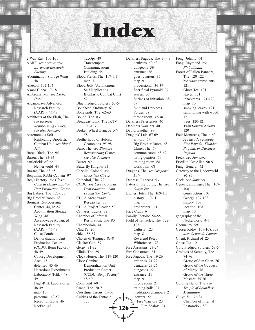### **Index**

2-Way Ray 100-101 AARF *see Arcanowave Advanced Research Facility* Abomination Storage Wing 48 Ahexotl 102-104 Akani Hideo 17-18 Ambrosia, Mr. *see Escher Hotel* Arcanowave Advanced Research Facility (AARF) 46-48 Architects of the Flesh, The *see Biomass Reprocessing Center; see also Jammers* Autonomous Self-Replicating Bioplastic Combat Unit *see Blood Jelly* Bared Blade, The 95 Baron, The 33-34 battlefields of the Netherworld 44 Bazaar, The 63-65 Benjamin, Rabbi-Captain 97 Benji Factory *see Close Combat Demoralization Unit Production Center* Big Babies, The 123-125 Big Brother Room 68 Biomass Reprocessing Center 44, 45-52 Abomination Storage Wing 48 Arcanowave Advanced Research Facility (AARF) 46-48 Close Combat Demoralization Unit Production Center (CCDU, Benji Factory) 48-49 Cyborg Development Area 45 defenses 45-46 Hazardous Experiments Laboratory (HEL) 48- 49 High-Risk Laboratories 48-49 map 10 personnel 49-52 Reception Zone 46 RecFac 45

Transtemporal Communications Building 45 Blood Fields, The 117-118 map 11 Blood Jelly (Autonomous Self-Replicating Bioplastic Combat Unit) 52 Blue Pledged Soldiers 53-54 Bonehead, Ordinary 63 Boneyards, The 62-63 Bound, The 83 Broadcast Link, The IKTV 106-107 Broken Wheel Brigade 57- 58 Brotherhood of Hebrew Champions 95-98 Buro, The *see Biomass Reprocessing Center; see also Jammers* Buster 92 Butterfly Knights 31 Carville, Colonel *see Crosstime Circus* Cathedral, The 29 CCDU *see Close Combat Demoralization Unit Production Center* CDCA Arcanowave Researcher 50 CDCA Project Leader 50 Centares, Lucius 32 Chamber of Infernal Restoration, The 80 Chamberlain 41 Chiu Fa 26 chizu 86-87 Chorus of Tongues 83-84 Clacker Gun 89 clergy 31-32 Clinic, The 69 Clock House, The 119-120 Close Combat Demoralization Unit Production Center (CCDU, Benji Factory) 48-49 Command 60 Crane, The 70-71 Crosstime Circus 65-66 Cultists of the Tentacle 123

TacOps 49

Darkness Pagoda, The 34-43 denizens 40-43 dungeons 39 entrance 36 guest quarters 37 map 9 processional 36-37 Sacrificial Pyramid 37 sewers 37 Shrines of Initiation 38- 39 Skin and Darkness Forges 39 throne room 37-38 Darkness Priestesses 40 Darkness Warriors 40 David, Brother 98 Dragons' Lair 67-69 armory 69 Big Brother Room 68 Clinic, The 69 common room 68-69 living quarters 69 training room 68 workroom 68 Dragons, The *see Dragons' Lair* Dupress, Rebecca 53 Eaters of the Lotus, The *see Guiyu Zui* Escher Hotel, The 109-111 history 110-111 map 11 proprietors 111 Face Crabs 6 Family Tortoise 54-55 Field of Tentacles, The 122- 123 Cultists 123 map 8 Reverend Petey Whitefence 123 Fire Assassins 23-24 Fire Constructs 24 Fire Pagoda, The 19-26 armories 21-22 denizens 23-26 dungeons 22 entrance 21 map 9 throne room 21 training halls 21 meditation chambers 21 sewers 22 Fire Warriors 23 **126**  $\frac{1}{\sqrt{25}}$  Fire Zealots 24 Restoration 80

Fong, Johnny 64 Fong, Raymond *see Pinballhalla* Forest of Fallen Banners, The 120-122 bio-wave transplants 121 Ghost Tea 121 leaves 121 inhabitants 121-122 map 10 smoking leaves 121 summoning with wood 121 trees 120-121 Twin Sorrow Arrows  $120$ Four Monarchs, The 4-43; *see also Ice Pagoda, Fire Pagoda, Thunder Pagoda, or Darkness Pagoda* Freak *see Jammers* Friedkin, Dr. Alice 90-91 Fung, General 42 Gateway to the Underworld 80-81 Geek *see Jammers* Genocide Lounge, The 107- 108 construction 108 Georgi 107-108 history 107 location 108 map 10 geography of the Netherworld 4-6 Geomancy 59 Georgi Kotov 107-108; *see also Genocide Lounge* Ghent, Richard of 25 Ghost Tea 121 Gold Pledged Soldiers 53-54 Grottoes of Serenity, The 74-76 Grotto of Sun Chen 76 Grotto of the Goddess of Mercy 76 Grotto of the Three Masters 75-76 Guiding Hand, The *see Temple of Boundless Meditation* Guiyu Zui 76-84 Chamber of Infernal